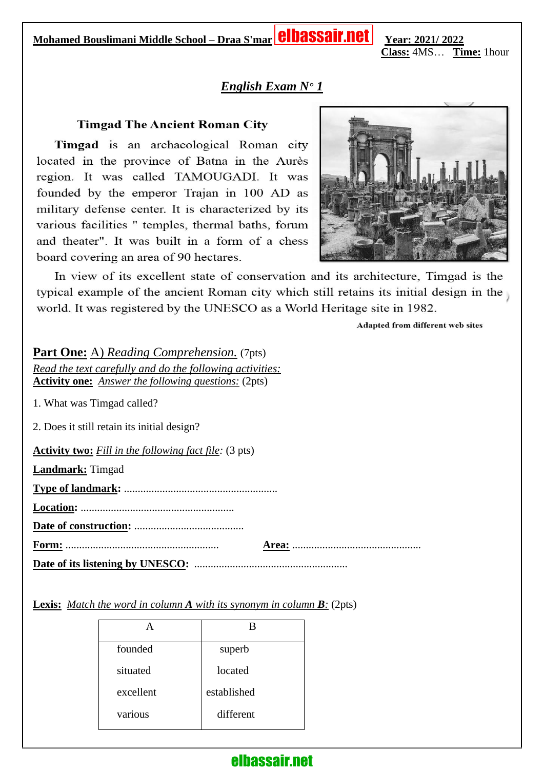**Mohamed Bouslimani Middle School – Draa S'marYear: 2021/ 2022** 

**Class:** 4MS… **Time:** 1hour

#### *English Exam N° 1*

#### **Timgad The Ancient Roman City**

Timgad is an archaeological Roman city located in the province of Batna in the Aurès region. It was called TAMOUGADI. It was founded by the emperor Trajan in 100 AD as military defense center. It is characterized by its various facilities " temples, thermal baths, forum and theater". It was built in a form of a chess board covering an area of 90 hectares.



In view of its excellent state of conservation and its architecture, Timgad is the typical example of the ancient Roman city which still retains its initial design in the world. It was registered by the UNESCO as a World Heritage site in 1982.

Adapted from different web sites

**Part One:** A) *Reading Comprehension.* (7pts) *Read the text carefully and do the following activities:* **Activity one:** *Answer the following questions:* (2pts)

1. What was Timgad called?

2. Does it still retain its initial design?

**Activity two:** *Fill in the following fact file:* (3 pts)

**Landmark:** Timgad

**Type of landmark:** ........................................................

**Location:** ........................................................

**Date of construction:** ........................................

**Form:** ........................................................ **Area:** ...............................................

**Date of its listening by UNESCO:** ........................................................

**Lexis:** *Match the word in column A with its synonym in column B:* (2pts)

|           | В           |
|-----------|-------------|
| founded   | superb      |
| situated  | located     |
| excellent | established |
| various   | different   |